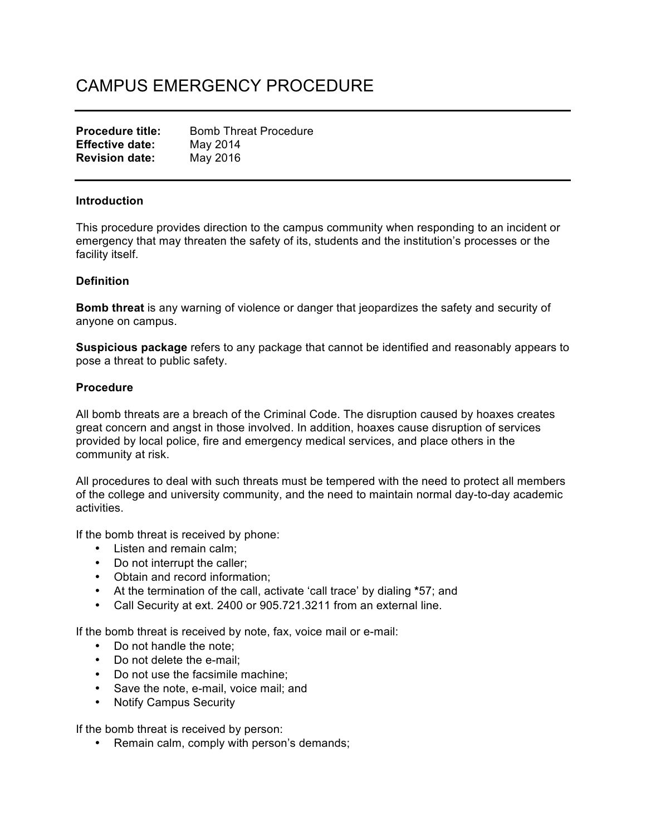# CAMPUS EMERGENCY PROCEDURE

| <b>Procedure title:</b> | <b>Bomb Threat Procedure</b> |
|-------------------------|------------------------------|
| <b>Effective date:</b>  | May 2014                     |
| <b>Revision date:</b>   | May 2016                     |

## **Introduction**

This procedure provides direction to the campus community when responding to an incident or emergency that may threaten the safety of its, students and the institution's processes or the facility itself.

## **Definition**

**Bomb threat** is any warning of violence or danger that jeopardizes the safety and security of anyone on campus.

**Suspicious package** refers to any package that cannot be identified and reasonably appears to pose a threat to public safety.

### **Procedure**

All bomb threats are a breach of the Criminal Code. The disruption caused by hoaxes creates great concern and angst in those involved. In addition, hoaxes cause disruption of services provided by local police, fire and emergency medical services, and place others in the community at risk.

All procedures to deal with such threats must be tempered with the need to protect all members of the college and university community, and the need to maintain normal day-to-day academic activities.

If the bomb threat is received by phone:

- Listen and remain calm;
- Do not interrupt the caller;
- Obtain and record information;
- At the termination of the call, activate 'call trace' by dialing **\***57; and
- Call Security at ext. 2400 or 905.721.3211 from an external line.

If the bomb threat is received by note, fax, voice mail or e-mail:

- Do not handle the note;
- Do not delete the e-mail;
- Do not use the facsimile machine;
- Save the note, e-mail, voice mail; and
- Notify Campus Security

If the bomb threat is received by person:

• Remain calm, comply with person's demands;